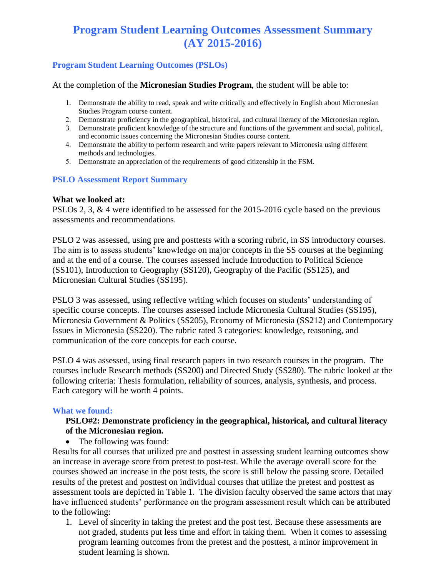# **Program Student Learning Outcomes Assessment Summary (AY 2015-2016)**

# **Program Student Learning Outcomes (PSLOs)**

At the completion of the **Micronesian Studies Program**, the student will be able to:

- 1. Demonstrate the ability to read, speak and write critically and effectively in English about Micronesian Studies Program course content.
- 2. Demonstrate proficiency in the geographical, historical, and cultural literacy of the Micronesian region.
- 3. Demonstrate proficient knowledge of the structure and functions of the government and social, political, and economic issues concerning the Micronesian Studies course content.
- 4. Demonstrate the ability to perform research and write papers relevant to Micronesia using different methods and technologies.
- 5. Demonstrate an appreciation of the requirements of good citizenship in the FSM.

#### **PSLO Assessment Report Summary**

#### **What we looked at:**

PSLOs 2, 3, & 4 were identified to be assessed for the 2015-2016 cycle based on the previous assessments and recommendations.

PSLO 2 was assessed, using pre and posttests with a scoring rubric, in SS introductory courses. The aim is to assess students' knowledge on major concepts in the SS courses at the beginning and at the end of a course. The courses assessed include Introduction to Political Science (SS101), Introduction to Geography (SS120), Geography of the Pacific (SS125), and Micronesian Cultural Studies (SS195).

PSLO 3 was assessed, using reflective writing which focuses on students' understanding of specific course concepts. The courses assessed include Micronesia Cultural Studies (SS195), Micronesia Government & Politics (SS205), Economy of Micronesia (SS212) and Contemporary Issues in Micronesia (SS220). The rubric rated 3 categories: knowledge, reasoning, and communication of the core concepts for each course.

PSLO 4 was assessed, using final research papers in two research courses in the program. The courses include Research methods (SS200) and Directed Study (SS280). The rubric looked at the following criteria: Thesis formulation, reliability of sources, analysis, synthesis, and process. Each category will be worth 4 points.

#### **What we found:**

#### **PSLO#2: Demonstrate proficiency in the geographical, historical, and cultural literacy of the Micronesian region.**

• The following was found:

Results for all courses that utilized pre and posttest in assessing student learning outcomes show an increase in average score from pretest to post-test. While the average overall score for the courses showed an increase in the post tests, the score is still below the passing score. Detailed results of the pretest and posttest on individual courses that utilize the pretest and posttest as assessment tools are depicted in Table 1. The division faculty observed the same actors that may have influenced students' performance on the program assessment result which can be attributed to the following:

1. Level of sincerity in taking the pretest and the post test. Because these assessments are not graded, students put less time and effort in taking them. When it comes to assessing program learning outcomes from the pretest and the posttest, a minor improvement in student learning is shown.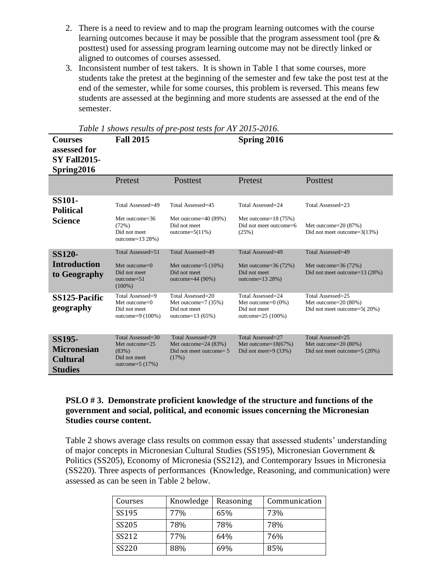- 2. There is a need to review and to map the program learning outcomes with the course learning outcomes because it may be possible that the program assessment tool (pre & posttest) used for assessing program learning outcome may not be directly linked or aligned to outcomes of courses assessed.
- 3. Inconsistent number of test takers. It is shown in Table 1 that some courses, more students take the pretest at the beginning of the semester and few take the post test at the end of the semester, while for some courses, this problem is reversed. This means few students are assessed at the beginning and more students are assessed at the end of the semester.

| <b>Courses</b><br>assessed for<br><b>SY Fall2015-</b><br>Spring2016      | <b>Fall 2015</b>                                                                   |                                                                                    | Spring 2016                                                                        |                                                                               |
|--------------------------------------------------------------------------|------------------------------------------------------------------------------------|------------------------------------------------------------------------------------|------------------------------------------------------------------------------------|-------------------------------------------------------------------------------|
|                                                                          | Pretest                                                                            | Posttest                                                                           | Pretest                                                                            | Posttest                                                                      |
| <b>SS101-</b><br><b>Political</b><br><b>Science</b>                      | Total Assessed=49<br>Met outcome=36<br>(72%)<br>Did not meet<br>outcome=13 28%)    | Total Assessed=45<br>Met outcome= $40(89%)$<br>Did not meet<br>outcome= $5(11\%)$  | Total Assessed=24<br>Met outcome= $18(75%)$<br>Did not meet outcome=6<br>(25%)     | Total Assessed=23<br>Met outcome=20 (87%)<br>Did not meet outcome= $3(13%)$   |
| <b>SS120-</b><br><b>Introduction</b><br>to Geography                     | Total Assessed=51<br>Met outcome= $0$<br>Did not meet<br>$outcome=51$<br>$(100\%)$ | Total Assessed=49<br>Met outcome= $5(10\%)$<br>Did not meet<br>outcome= $44(90\%)$ | Total Assessed=49<br>Met outcome= $36(72%)$<br>Did not meet<br>outcome= $1328\%$ ) | Total Assessed=49<br>Met outcome= $36(72%)$<br>Did not meet outcome=13 (28%)  |
| <b>SS125-Pacific</b><br>geography                                        | Total Assessed=9<br>Met outcome= $0$<br>Did not meet<br>outcome= $9(100\%)$        | Total Assessed=20<br>Met outcome= $7(35%)$<br>Did not meet<br>outcome= $13(65%)$   | Total Assessed=24<br>Met outcome= $0(0\%)$<br>Did not meet<br>outcome= $25(100%)$  | Total Assessed=25<br>Met outcome=20 (80%)<br>Did not meet outcome= $5(20\%)$  |
| <b>SS195-</b><br><b>Micronesian</b><br><b>Cultural</b><br><b>Studies</b> | Total Assessed=30<br>Met outcome=25<br>(83%)<br>Did not meet<br>outcome= $5(17%)$  | Total Assessed=29<br>Met outcome= $24(83%)$<br>Did not meet outcome = 5<br>(17%)   | Total Assessed=27<br>Met outcome= $18(67%)$<br>Did not meet= $9(33%)$              | Total Assessed=25<br>Met outcome= $20(80%)$<br>Did not meet outcome= $5(20%)$ |

*Table 1 shows results of pre-post tests for AY 2015-2016.*

#### **PSLO # 3. Demonstrate proficient knowledge of the structure and functions of the government and social, political, and economic issues concerning the Micronesian Studies course content.**

Table 2 shows average class results on common essay that assessed students' understanding of major concepts in Micronesian Cultural Studies (SS195), Micronesian Government & Politics (SS205), Economy of Micronesia (SS212), and Contemporary Issues in Micronesia (SS220). Three aspects of performances (Knowledge, Reasoning, and communication) were assessed as can be seen in Table 2 below.

| Courses      | Knowledge | Reasoning | Communication |
|--------------|-----------|-----------|---------------|
| SS195        | 77%       | 65%       | 73%           |
| SS205        | 78%       | 78%       | 78%           |
| SS212        | 77%       | 64%       | 76%           |
| <b>SS220</b> | 88%       | 69%       | 85%           |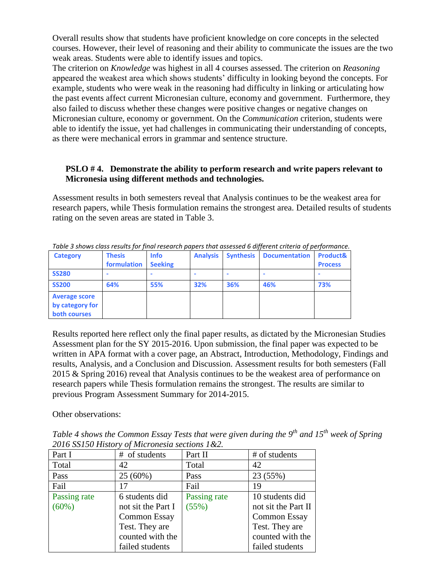Overall results show that students have proficient knowledge on core concepts in the selected courses. However, their level of reasoning and their ability to communicate the issues are the two weak areas. Students were able to identify issues and topics.

The criterion on *Knowledge* was highest in all 4 courses assessed. The criterion on *Reasoning* appeared the weakest area which shows students' difficulty in looking beyond the concepts. For example, students who were weak in the reasoning had difficulty in linking or articulating how the past events affect current Micronesian culture, economy and government. Furthermore, they also failed to discuss whether these changes were positive changes or negative changes on Micronesian culture, economy or government. On the *Communication* criterion, students were able to identify the issue, yet had challenges in communicating their understanding of concepts, as there were mechanical errors in grammar and sentence structure.

## **PSLO # 4. Demonstrate the ability to perform research and write papers relevant to Micronesia using different methods and technologies.**

Assessment results in both semesters reveal that Analysis continues to be the weakest area for research papers, while Thesis formulation remains the strongest area. Detailed results of students rating on the seven areas are stated in Table 3.

|                      |               |                |                 |     | Table 3 Shows class results for final research papers that assessed 6 allerent criteria of performance. |                     |
|----------------------|---------------|----------------|-----------------|-----|---------------------------------------------------------------------------------------------------------|---------------------|
| <b>Category</b>      | <b>Thesis</b> | <b>Info</b>    | <b>Analysis</b> |     | <b>Synthesis   Documentation</b>                                                                        | <b>Product&amp;</b> |
|                      | formulation   | <b>Seeking</b> |                 |     |                                                                                                         | <b>Process</b>      |
| <b>SS280</b>         |               |                |                 |     |                                                                                                         |                     |
| <b>SS200</b>         | 64%           | 55%            | 32%             | 36% | 46%                                                                                                     | 73%                 |
| <b>Average score</b> |               |                |                 |     |                                                                                                         |                     |
| by category for      |               |                |                 |     |                                                                                                         |                     |
| both courses         |               |                |                 |     |                                                                                                         |                     |

*Table 3 shows class results for final research papers that assessed 6 different criteria of performance.*

Results reported here reflect only the final paper results, as dictated by the Micronesian Studies Assessment plan for the SY 2015-2016. Upon submission, the final paper was expected to be written in APA format with a cover page, an Abstract, Introduction, Methodology, Findings and results, Analysis, and a Conclusion and Discussion. Assessment results for both semesters (Fall 2015 & Spring 2016) reveal that Analysis continues to be the weakest area of performance on research papers while Thesis formulation remains the strongest. The results are similar to previous Program Assessment Summary for 2014-2015.

Other observations:

*Table 4 shows the Common Essay Tests that were given during the 9th and 15th week of Spring 2016 SS150 History of Micronesia sections 1&2.*

| Part I       | # of students       | Part II      | # of students       |
|--------------|---------------------|--------------|---------------------|
| Total        | 42                  | Total        | 42                  |
| Pass         | 25 (60%)            | Pass         | 23 (55%)            |
| Fail         | 17                  | Fail         | 19                  |
| Passing rate | 6 students did      | Passing rate | 10 students did     |
| (60%)        | not sit the Part I  | (55%)        | not sit the Part II |
|              | <b>Common Essay</b> |              | <b>Common Essay</b> |
|              | Test. They are      |              | Test. They are      |
|              | counted with the    |              | counted with the    |
|              | failed students     |              | failed students     |